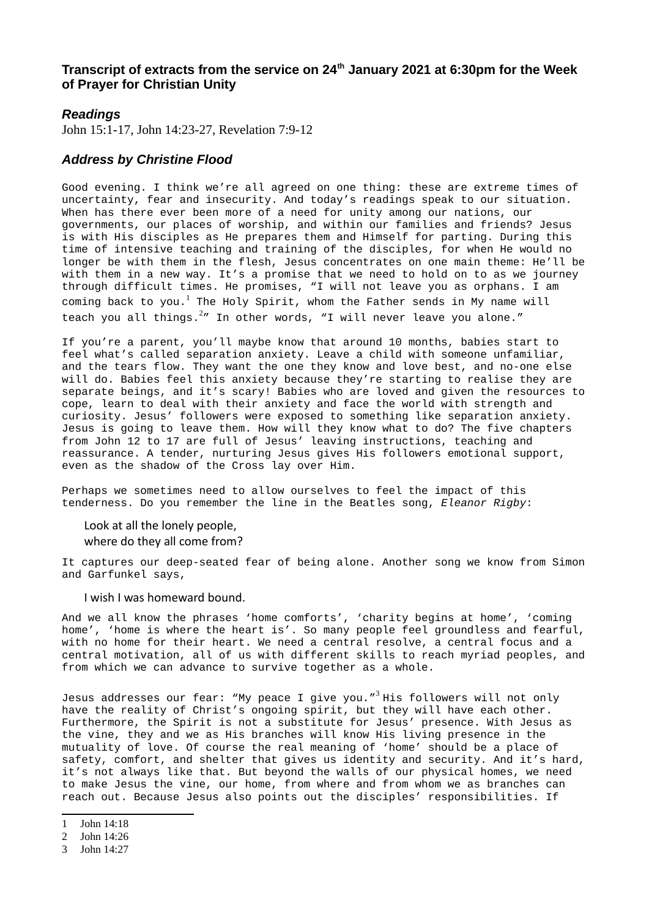## **Transcript of extracts from the service on 24th January 2021 at 6:30pm for the Week of Prayer for Christian Unity**

## *Readings*

John 15:1-17, John 14:23-27, Revelation 7:9-12

## *Address by Christine Flood*

Good evening. I think we're all agreed on one thing: these are extreme times of uncertainty, fear and insecurity. And today's readings speak to our situation. When has there ever been more of a need for unity among our nations, our governments, our places of worship, and within our families and friends? Jesus is with His disciples as He prepares them and Himself for parting. During this time of intensive teaching and training of the disciples, for when He would no longer be with them in the flesh, Jesus concentrates on one main theme: He'll be with them in a new way. It's a promise that we need to hold on to as we journey through difficult times. He promises, "I will not leave you as orphans. I am coming back to you. $^1$  $^1$  The Holy Spirit, whom the Father sends in My name will teach you all things. $2\pi$  $2\pi$  In other words, "I will never leave you alone."

If you're a parent, you'll maybe know that around 10 months, babies start to feel what's called separation anxiety. Leave a child with someone unfamiliar, and the tears flow. They want the one they know and love best, and no-one else will do. Babies feel this anxiety because they're starting to realise they are separate beings, and it's scary! Babies who are loved and given the resources to cope, learn to deal with their anxiety and face the world with strength and curiosity. Jesus' followers were exposed to something like separation anxiety. Jesus is going to leave them. How will they know what to do? The five chapters from John 12 to 17 are full of Jesus' leaving instructions, teaching and reassurance. A tender, nurturing Jesus gives His followers emotional support, even as the shadow of the Cross lay over Him.

Perhaps we sometimes need to allow ourselves to feel the impact of this tenderness. Do you remember the line in the Beatles song, *Eleanor Rigby*:

Look at all the lonely people, where do they all come from?

It captures our deep-seated fear of being alone. Another song we know from Simon and Garfunkel says,

I wish I was homeward bound.

And we all know the phrases 'home comforts', 'charity begins at home', 'coming home', 'home is where the heart is'. So many people feel groundless and fearful, with no home for their heart. We need a central resolve, a central focus and a central motivation, all of us with different skills to reach myriad peoples, and from which we can advance to survive together as a whole.

Jesus addresses our fear: "My peace I give you."<sup>[3](#page-0-2)</sup> His followers will not only have the reality of Christ's ongoing spirit, but they will have each other. Furthermore, the Spirit is not a substitute for Jesus' presence. With Jesus as the vine, they and we as His branches will know His living presence in the mutuality of love. Of course the real meaning of 'home' should be a place of safety, comfort, and shelter that gives us identity and security. And it's hard, it's not always like that. But beyond the walls of our physical homes, we need to make Jesus the vine, our home, from where and from whom we as branches can reach out. Because Jesus also points out the disciples' responsibilities. If

<span id="page-0-0"></span><sup>1</sup> John 14:18

<span id="page-0-1"></span><sup>2</sup> John 14:26

<span id="page-0-2"></span><sup>3</sup> John 14:27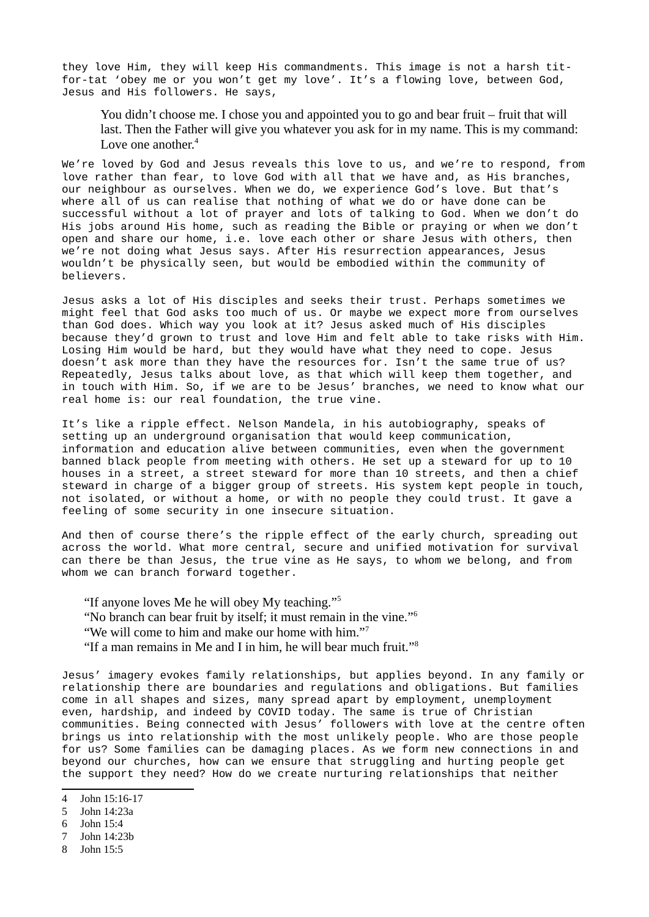they love Him, they will keep His commandments. This image is not a harsh titfor-tat 'obey me or you won't get my love'. It's a flowing love, between God, Jesus and His followers. He says,

You didn't choose me. I chose you and appointed you to go and bear fruit – fruit that will last. Then the Father will give you whatever you ask for in my name. This is my command: Love one another.<sup>[4](#page-1-0)</sup>

We're loved by God and Jesus reveals this love to us, and we're to respond, from love rather than fear, to love God with all that we have and, as His branches, our neighbour as ourselves. When we do, we experience God's love. But that's where all of us can realise that nothing of what we do or have done can be successful without a lot of prayer and lots of talking to God. When we don't do His jobs around His home, such as reading the Bible or praying or when we don't open and share our home, i.e. love each other or share Jesus with others, then we're not doing what Jesus says. After His resurrection appearances, Jesus wouldn't be physically seen, but would be embodied within the community of believers.

Jesus asks a lot of His disciples and seeks their trust. Perhaps sometimes we might feel that God asks too much of us. Or maybe we expect more from ourselves than God does. Which way you look at it? Jesus asked much of His disciples because they'd grown to trust and love Him and felt able to take risks with Him. Losing Him would be hard, but they would have what they need to cope. Jesus doesn't ask more than they have the resources for. Isn't the same true of us? Repeatedly, Jesus talks about love, as that which will keep them together, and in touch with Him. So, if we are to be Jesus' branches, we need to know what our real home is: our real foundation, the true vine.

It's like a ripple effect. Nelson Mandela, in his autobiography, speaks of setting up an underground organisation that would keep communication, information and education alive between communities, even when the government banned black people from meeting with others. He set up a steward for up to 10 houses in a street, a street steward for more than 10 streets, and then a chief steward in charge of a bigger group of streets. His system kept people in touch, not isolated, or without a home, or with no people they could trust. It gave a feeling of some security in one insecure situation.

And then of course there's the ripple effect of the early church, spreading out across the world. What more central, secure and unified motivation for survival can there be than Jesus, the true vine as He says, to whom we belong, and from whom we can branch forward together.

- "If anyone loves Me he will obey My teaching."[5](#page-1-1)
- "No branch can bear fruit by itself; it must remain in the vine."[6](#page-1-2)
- "We will come to him and make our home with him."[7](#page-1-3)
- "If a man remains in Me and I in him, he will bear much fruit."[8](#page-1-4)

Jesus' imagery evokes family relationships, but applies beyond. In any family or relationship there are boundaries and regulations and obligations. But families come in all shapes and sizes, many spread apart by employment, unemployment even, hardship, and indeed by COVID today. The same is true of Christian communities. Being connected with Jesus' followers with love at the centre often brings us into relationship with the most unlikely people. Who are those people for us? Some families can be damaging places. As we form new connections in and beyond our churches, how can we ensure that struggling and hurting people get the support they need? How do we create nurturing relationships that neither

- <span id="page-1-2"></span>6 John 15:4
- <span id="page-1-3"></span>7 John 14:23b
- <span id="page-1-4"></span>8 John 15:5

<span id="page-1-0"></span><sup>4</sup> John 15:16-17

<span id="page-1-1"></span><sup>5</sup> John 14:23a